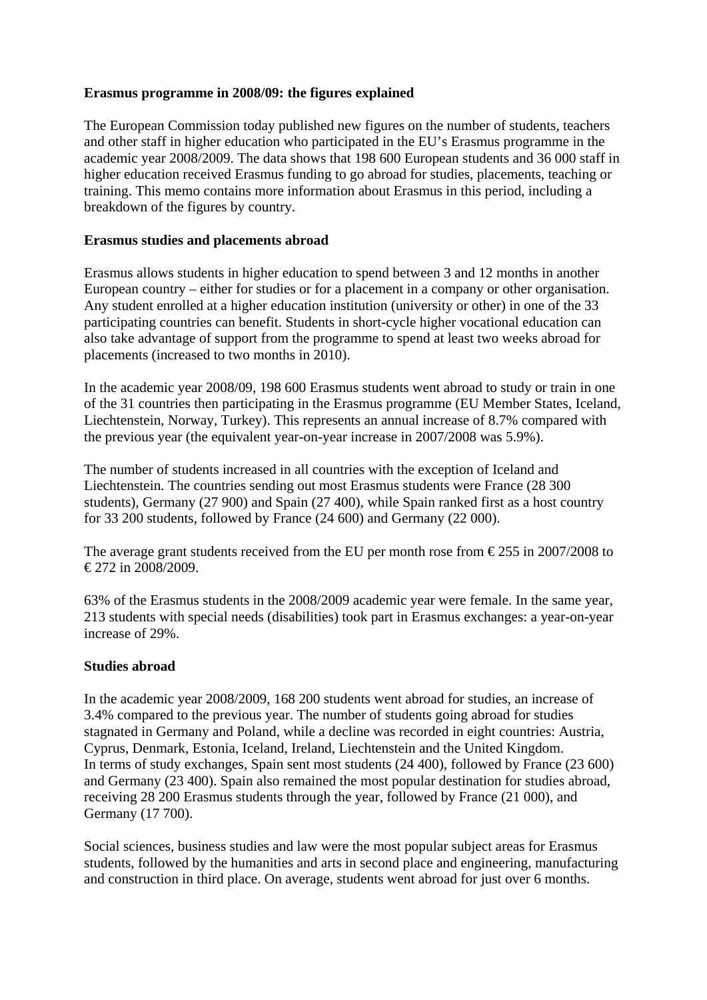# **Erasmus programme in 2008/09: the figures explained**

The European Commission today published new figures on the number of students, teachers and other staff in higher education who participated in the EU's Erasmus programme in the academic year 2008/2009. The data shows that 198 600 European students and 36 000 staff in higher education received Erasmus funding to go abroad for studies, placements, teaching or training. This memo contains more information about Erasmus in this period, including a breakdown of the figures by country.

#### **Erasmus studies and placements abroad**

Erasmus allows students in higher education to spend between 3 and 12 months in another European country – either for studies or for a placement in a company or other organisation. Any student enrolled at a higher education institution (university or other) in one of the 33 participating countries can benefit. Students in short-cycle higher vocational education can also take advantage of support from the programme to spend at least two weeks abroad for placements (increased to two months in 2010).

In the academic year 2008/09, 198 600 Erasmus students went abroad to study or train in one of the 31 countries then participating in the Erasmus programme (EU Member States, Iceland, Liechtenstein, Norway, Turkey). This represents an annual increase of 8.7% compared with the previous year (the equivalent year-on-year increase in 2007/2008 was 5.9%).

The number of students increased in all countries with the exception of Iceland and Liechtenstein. The countries sending out most Erasmus students were France (28 300 students), Germany (27 900) and Spain (27 400), while Spain ranked first as a host country for 33 200 students, followed by France (24 600) and Germany (22 000).

The average grant students received from the EU per month rose from  $\epsilon$ 255 in 2007/2008 to  $\text{\textsterling}272$  in 2008/2009.

63% of the Erasmus students in the 2008/2009 academic year were female. In the same year, 213 students with special needs (disabilities) took part in Erasmus exchanges: a year-on-year increase of 29%.

# **Studies abroad**

In the academic year 2008/2009, 168 200 students went abroad for studies, an increase of 3.4% compared to the previous year. The number of students going abroad for studies stagnated in Germany and Poland, while a decline was recorded in eight countries: Austria, Cyprus, Denmark, Estonia, Iceland, Ireland, Liechtenstein and the United Kingdom. In terms of study exchanges, Spain sent most students (24 400), followed by France (23 600) and Germany (23 400). Spain also remained the most popular destination for studies abroad, receiving 28 200 Erasmus students through the year, followed by France (21 000), and Germany (17 700).

Social sciences, business studies and law were the most popular subject areas for Erasmus students, followed by the humanities and arts in second place and engineering, manufacturing and construction in third place. On average, students went abroad for just over 6 months.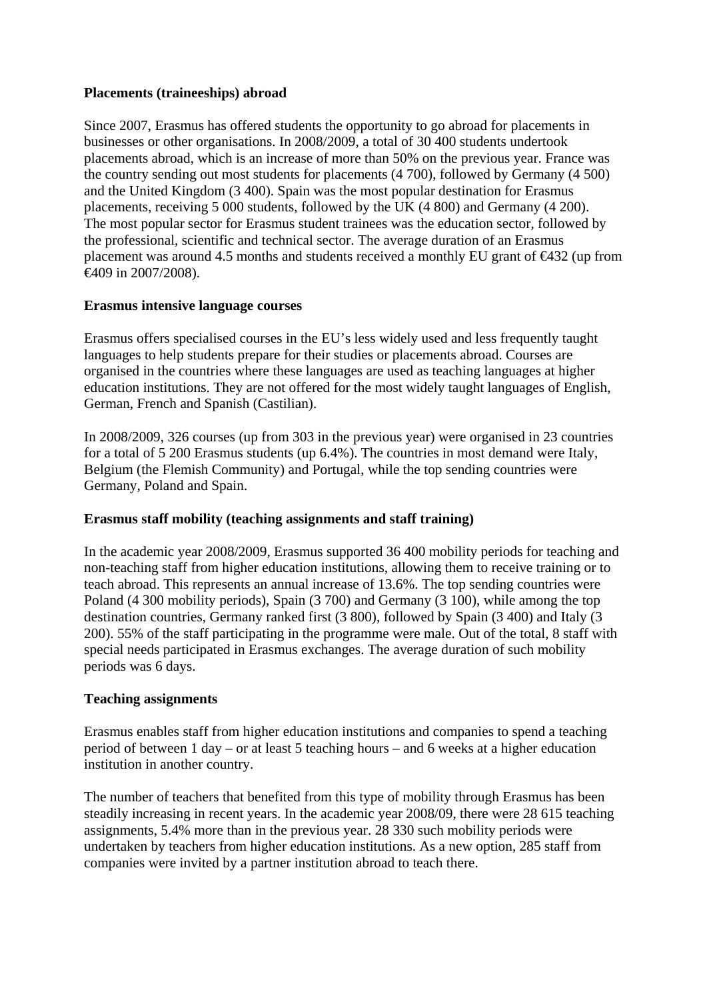# **Placements (traineeships) abroad**

Since 2007, Erasmus has offered students the opportunity to go abroad for placements in businesses or other organisations. In 2008/2009, a total of 30 400 students undertook placements abroad, which is an increase of more than 50% on the previous year. France was the country sending out most students for placements (4 700), followed by Germany (4 500) and the United Kingdom (3 400). Spain was the most popular destination for Erasmus placements, receiving 5 000 students, followed by the UK (4 800) and Germany (4 200). The most popular sector for Erasmus student trainees was the education sector, followed by the professional, scientific and technical sector. The average duration of an Erasmus placement was around 4.5 months and students received a monthly EU grant of  $\epsilon$ 432 (up from €409 in 2007/2008).

### **Erasmus intensive language courses**

Erasmus offers specialised courses in the EU's less widely used and less frequently taught languages to help students prepare for their studies or placements abroad. Courses are organised in the countries where these languages are used as teaching languages at higher education institutions. They are not offered for the most widely taught languages of English, German, French and Spanish (Castilian).

In 2008/2009, 326 courses (up from 303 in the previous year) were organised in 23 countries for a total of 5 200 Erasmus students (up 6.4%). The countries in most demand were Italy, Belgium (the Flemish Community) and Portugal, while the top sending countries were Germany, Poland and Spain.

#### **Erasmus staff mobility (teaching assignments and staff training)**

In the academic year 2008/2009, Erasmus supported 36 400 mobility periods for teaching and non-teaching staff from higher education institutions, allowing them to receive training or to teach abroad. This represents an annual increase of 13.6%. The top sending countries were Poland (4 300 mobility periods), Spain (3 700) and Germany (3 100), while among the top destination countries, Germany ranked first (3 800), followed by Spain (3 400) and Italy (3 200). 55% of the staff participating in the programme were male. Out of the total, 8 staff with special needs participated in Erasmus exchanges. The average duration of such mobility periods was 6 days.

#### **Teaching assignments**

Erasmus enables staff from higher education institutions and companies to spend a teaching period of between 1 day – or at least 5 teaching hours – and 6 weeks at a higher education institution in another country.

The number of teachers that benefited from this type of mobility through Erasmus has been steadily increasing in recent years. In the academic year 2008/09, there were 28 615 teaching assignments, 5.4% more than in the previous year. 28 330 such mobility periods were undertaken by teachers from higher education institutions. As a new option, 285 staff from companies were invited by a partner institution abroad to teach there.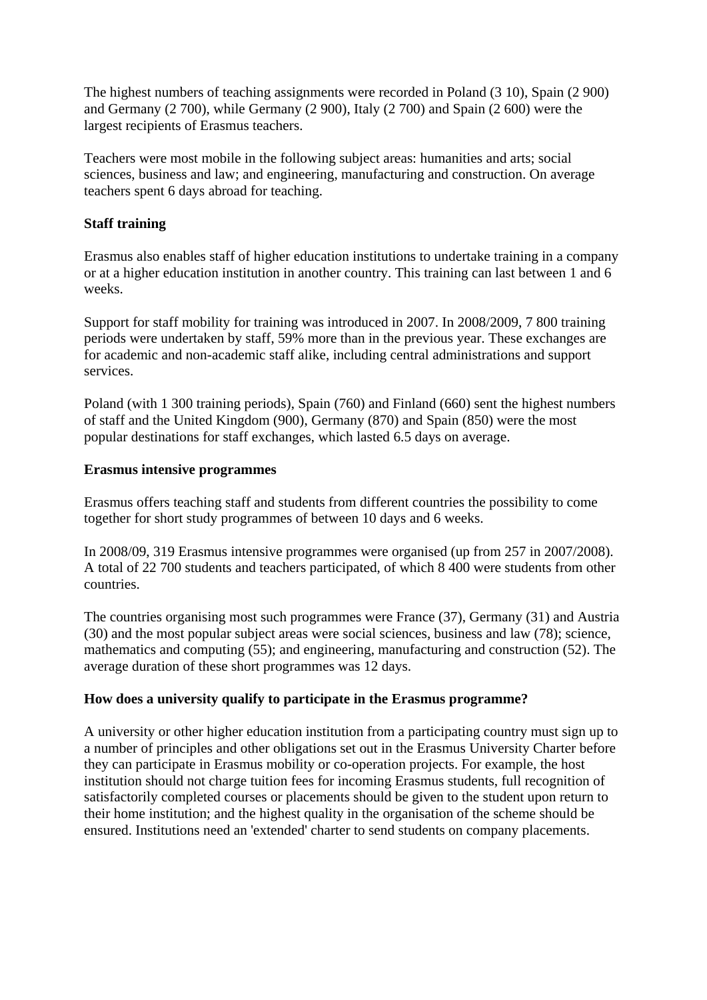The highest numbers of teaching assignments were recorded in Poland (3 10), Spain (2 900) and Germany (2 700), while Germany (2 900), Italy (2 700) and Spain (2 600) were the largest recipients of Erasmus teachers.

Teachers were most mobile in the following subject areas: humanities and arts; social sciences, business and law; and engineering, manufacturing and construction. On average teachers spent 6 days abroad for teaching.

### **Staff training**

Erasmus also enables staff of higher education institutions to undertake training in a company or at a higher education institution in another country. This training can last between 1 and 6 weeks.

Support for staff mobility for training was introduced in 2007. In 2008/2009, 7 800 training periods were undertaken by staff, 59% more than in the previous year. These exchanges are for academic and non-academic staff alike, including central administrations and support services.

Poland (with 1 300 training periods), Spain (760) and Finland (660) sent the highest numbers of staff and the United Kingdom (900), Germany (870) and Spain (850) were the most popular destinations for staff exchanges, which lasted 6.5 days on average.

### **Erasmus intensive programmes**

Erasmus offers teaching staff and students from different countries the possibility to come together for short study programmes of between 10 days and 6 weeks.

In 2008/09, 319 Erasmus intensive programmes were organised (up from 257 in 2007/2008). A total of 22 700 students and teachers participated, of which 8 400 were students from other countries.

The countries organising most such programmes were France (37), Germany (31) and Austria (30) and the most popular subject areas were social sciences, business and law (78); science, mathematics and computing (55); and engineering, manufacturing and construction (52). The average duration of these short programmes was 12 days.

# **How does a university qualify to participate in the Erasmus programme?**

A university or other higher education institution from a participating country must sign up to a number of principles and other obligations set out in the Erasmus University Charter before they can participate in Erasmus mobility or co-operation projects. For example, the host institution should not charge tuition fees for incoming Erasmus students, full recognition of satisfactorily completed courses or placements should be given to the student upon return to their home institution; and the highest quality in the organisation of the scheme should be ensured. Institutions need an 'extended' charter to send students on company placements.